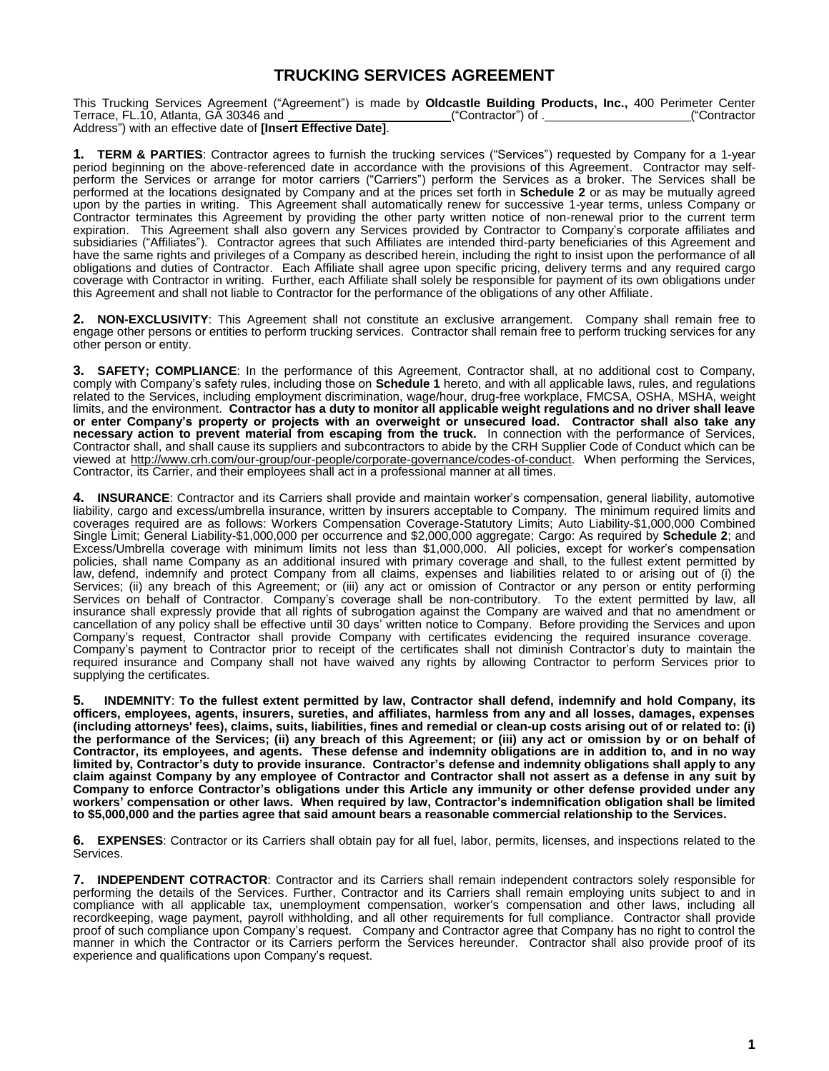# **TRUCKING SERVICES AGREEMENT**

This Trucking Services Agreement ("Agreement") is made by **Oldcastle Building Products, Inc.,** 400 Perimeter Center Terrace, FL.10, Atlanta, GA 30346 and ("Contractor") of . ("Contractor Address") with an effective date of **[Insert Effective Date]**.

**1. TERM & PARTIES**: Contractor agrees to furnish the trucking services ("Services") requested by Company for a 1-year period beginning on the above-referenced date in accordance with the provisions of this Agreement. Contractor may selfperform the Services or arrange for motor carriers ("Carriers") perform the Services as a broker. The Services shall be performed at the locations designated by Company and at the prices set forth in **Schedule 2** or as may be mutually agreed upon by the parties in writing. This Agreement shall automatically renew for successive 1-year terms, unless Company or Contractor terminates this Agreement by providing the other party written notice of non-renewal prior to the current term expiration. This Agreement shall also govern any Services provided by Contractor to Company's corporate affiliates and subsidiaries ("Affiliates"). Contractor agrees that such Affiliates are intended third-party beneficiaries of this Agreement and have the same rights and privileges of a Company as described herein, including the right to insist upon the performance of all obligations and duties of Contractor. Each Affiliate shall agree upon specific pricing, delivery terms and any required cargo coverage with Contractor in writing. Further, each Affiliate shall solely be responsible for payment of its own obligations under this Agreement and shall not liable to Contractor for the performance of the obligations of any other Affiliate.

**2. NON-EXCLUSIVITY**: This Agreement shall not constitute an exclusive arrangement. Company shall remain free to engage other persons or entities to perform trucking services. Contractor shall remain free to perform trucking services for any other person or entity.

**3. SAFETY; COMPLIANCE**: In the performance of this Agreement, Contractor shall, at no additional cost to Company, comply with Company's safety rules, including those on **Schedule 1** hereto, and with all applicable laws, rules, and regulations related to the Services, including employment discrimination, wage/hour, drug-free workplace, FMCSA, OSHA, MSHA, weight limits, and the environment. **Contractor has a duty to monitor all applicable weight regulations and no driver shall leave or enter Company's property or projects with an overweight or unsecured load. Contractor shall also take any necessary action to prevent material from escaping from the truck.** In connection with the performance of Services, Contractor shall, and shall cause its suppliers and subcontractors to abide by the CRH Supplier Code of Conduct which can be viewed at [http://www.crh.com/our-group/our-people/corporate-governance/codes-of-conduct.](http://www.crh.com/our-group/our-people/corporate-governance/codes-of-conduct) When performing the Services, Contractor, its Carrier, and their employees shall act in a professional manner at all times.

**4. INSURANCE**: Contractor and its Carriers shall provide and maintain worker's compensation, general liability, automotive liability, cargo and excess/umbrella insurance, written by insurers acceptable to Company. The minimum required limits and coverages required are as follows: Workers Compensation Coverage-Statutory Limits; Auto Liability-\$1,000,000 Combined Single Limit; General Liability-\$1,000,000 per occurrence and \$2,000,000 aggregate; Cargo: As required by **Schedule 2**; and Excess/Umbrella coverage with minimum limits not less than \$1,000,000. All policies, except for worker's compensation policies, shall name Company as an additional insured with primary coverage and shall, to the fullest extent permitted by law, defend, indemnify and protect Company from all claims, expenses and liabilities related to or arising out of (i) the Services; (ii) any breach of this Agreement; or (iii) any act or omission of Contractor or any person or entity performing Services on behalf of Contractor. Company's coverage shall be non-contributory. To the extent permitted by law, all insurance shall expressly provide that all rights of subrogation against the Company are waived and that no amendment or cancellation of any policy shall be effective until 30 days' written notice to Company. Before providing the Services and upon Company's request, Contractor shall provide Company with certificates evidencing the required insurance coverage. Company's payment to Contractor prior to receipt of the certificates shall not diminish Contractor's duty to maintain the required insurance and Company shall not have waived any rights by allowing Contractor to perform Services prior to supplying the certificates.

**5. INDEMNITY**: **To the fullest extent permitted by law, Contractor shall defend, indemnify and hold Company, its officers, employees, agents, insurers, sureties, and affiliates, harmless from any and all losses, damages, expenses (including attorneys' fees), claims, suits, liabilities, fines and remedial or clean-up costs arising out of or related to: (i) the performance of the Services; (ii) any breach of this Agreement; or (iii) any act or omission by or on behalf of Contractor, its employees, and agents. These defense and indemnity obligations are in addition to, and in no way limited by, Contractor's duty to provide insurance. Contractor's defense and indemnity obligations shall apply to any claim against Company by any employee of Contractor and Contractor shall not assert as a defense in any suit by Company to enforce Contractor's obligations under this Article any immunity or other defense provided under any workers' compensation or other laws. When required by law, Contractor's indemnification obligation shall be limited to \$5,000,000 and the parties agree that said amount bears a reasonable commercial relationship to the Services.** 

**6. EXPENSES**: Contractor or its Carriers shall obtain pay for all fuel, labor, permits, licenses, and inspections related to the Services.

**7. INDEPENDENT COTRACTOR**: Contractor and its Carriers shall remain independent contractors solely responsible for performing the details of the Services. Further, Contractor and its Carriers shall remain employing units subject to and in compliance with all applicable tax, unemployment compensation, worker's compensation and other laws, including all recordkeeping, wage payment, payroll withholding, and all other requirements for full compliance. Contractor shall provide proof of such compliance upon Company's request. Company and Contractor agree that Company has no right to control the manner in which the Contractor or its Carriers perform the Services hereunder. Contractor shall also provide proof of its experience and qualifications upon Company's request.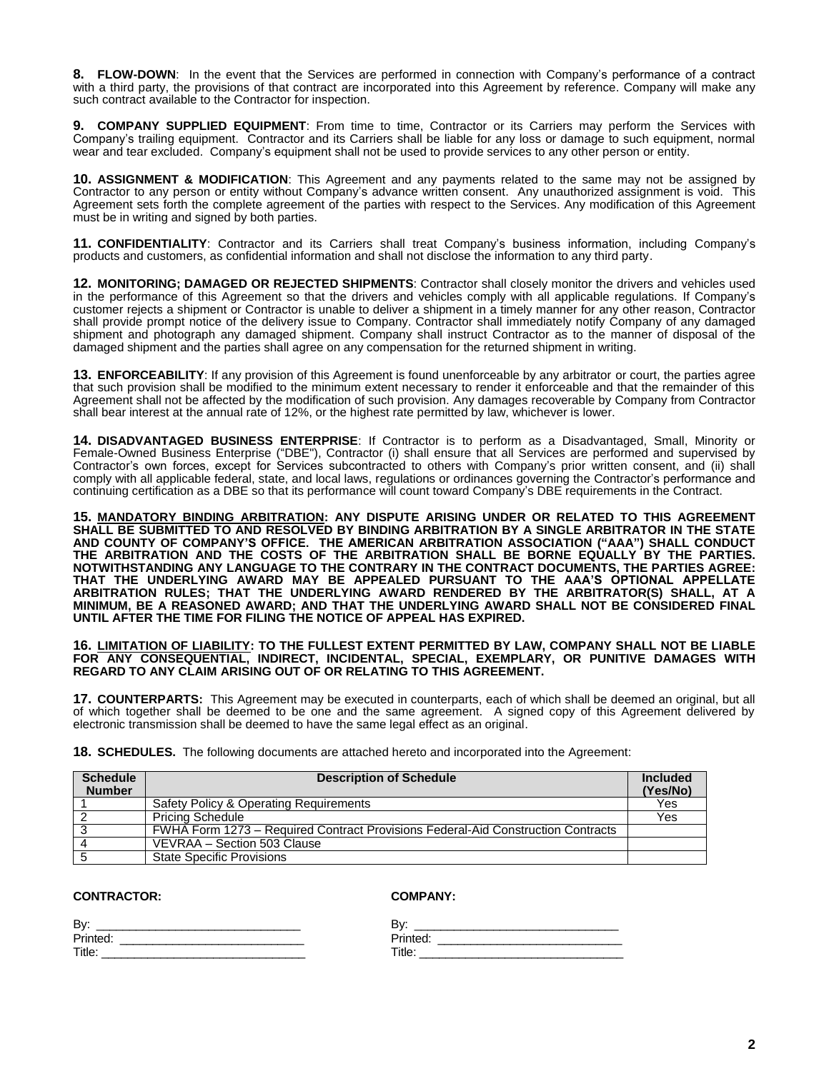**8. FLOW-DOWN**: In the event that the Services are performed in connection with Company's performance of a contract with a third party, the provisions of that contract are incorporated into this Agreement by reference. Company will make any such contract available to the Contractor for inspection.

**9. COMPANY SUPPLIED EQUIPMENT**: From time to time, Contractor or its Carriers may perform the Services with Company's trailing equipment. Contractor and its Carriers shall be liable for any loss or damage to such equipment, normal wear and tear excluded. Company's equipment shall not be used to provide services to any other person or entity.

**10. ASSIGNMENT & MODIFICATION**: This Agreement and any payments related to the same may not be assigned by Contractor to any person or entity without Company's advance written consent. Any unauthorized assignment is void. This Agreement sets forth the complete agreement of the parties with respect to the Services. Any modification of this Agreement must be in writing and signed by both parties.

**11. CONFIDENTIALITY**: Contractor and its Carriers shall treat Company's business information, including Company's products and customers, as confidential information and shall not disclose the information to any third party.

**12. MONITORING; DAMAGED OR REJECTED SHIPMENTS**: Contractor shall closely monitor the drivers and vehicles used in the performance of this Agreement so that the drivers and vehicles comply with all applicable regulations. If Company's customer rejects a shipment or Contractor is unable to deliver a shipment in a timely manner for any other reason, Contractor shall provide prompt notice of the delivery issue to Company. Contractor shall immediately notify Company of any damaged shipment and photograph any damaged shipment. Company shall instruct Contractor as to the manner of disposal of the damaged shipment and the parties shall agree on any compensation for the returned shipment in writing.

**13. ENFORCEABILITY**: If any provision of this Agreement is found unenforceable by any arbitrator or court, the parties agree that such provision shall be modified to the minimum extent necessary to render it enforceable and that the remainder of this Agreement shall not be affected by the modification of such provision. Any damages recoverable by Company from Contractor shall bear interest at the annual rate of 12%, or the highest rate permitted by law, whichever is lower.

**14. DISADVANTAGED BUSINESS ENTERPRISE**: If Contractor is to perform as a Disadvantaged, Small, Minority or Female-Owned Business Enterprise ("DBE"), Contractor (i) shall ensure that all Services are performed and supervised by Contractor's own forces, except for Services subcontracted to others with Company's prior written consent, and (ii) shall comply with all applicable federal, state, and local laws, regulations or ordinances governing the Contractor's performance and continuing certification as a DBE so that its performance will count toward Company's DBE requirements in the Contract.

**15. MANDATORY BINDING ARBITRATION: ANY DISPUTE ARISING UNDER OR RELATED TO THIS AGREEMENT SHALL BE SUBMITTED TO AND RESOLVED BY BINDING ARBITRATION BY A SINGLE ARBITRATOR IN THE STATE AND COUNTY OF COMPANY'S OFFICE. THE AMERICAN ARBITRATION ASSOCIATION ("AAA") SHALL CONDUCT THE ARBITRATION AND THE COSTS OF THE ARBITRATION SHALL BE BORNE EQUALLY BY THE PARTIES. NOTWITHSTANDING ANY LANGUAGE TO THE CONTRARY IN THE CONTRACT DOCUMENTS, THE PARTIES AGREE: THAT THE UNDERLYING AWARD MAY BE APPEALED PURSUANT TO THE AAA'S OPTIONAL APPELLATE ARBITRATION RULES; THAT THE UNDERLYING AWARD RENDERED BY THE ARBITRATOR(S) SHALL, AT A MINIMUM, BE A REASONED AWARD; AND THAT THE UNDERLYING AWARD SHALL NOT BE CONSIDERED FINAL UNTIL AFTER THE TIME FOR FILING THE NOTICE OF APPEAL HAS EXPIRED.**

**16. LIMITATION OF LIABILITY: TO THE FULLEST EXTENT PERMITTED BY LAW, COMPANY SHALL NOT BE LIABLE FOR ANY CONSEQUENTIAL, INDIRECT, INCIDENTAL, SPECIAL, EXEMPLARY, OR PUNITIVE DAMAGES WITH REGARD TO ANY CLAIM ARISING OUT OF OR RELATING TO THIS AGREEMENT.**

**17. COUNTERPARTS:** This Agreement may be executed in counterparts, each of which shall be deemed an original, but all of which together shall be deemed to be one and the same agreement. A signed copy of this Agreement delivered by electronic transmission shall be deemed to have the same legal effect as an original.

**18. SCHEDULES.** The following documents are attached hereto and incorporated into the Agreement:

| <b>Schedule</b><br><b>Number</b> | <b>Description of Schedule</b>                                                   | Included<br>(Yes/No) |
|----------------------------------|----------------------------------------------------------------------------------|----------------------|
|                                  | Safety Policy & Operating Requirements                                           | Yes                  |
|                                  | <b>Pricing Schedule</b>                                                          | Yes                  |
|                                  | FWHA Form 1273 - Required Contract Provisions Federal-Aid Construction Contracts |                      |
|                                  | VEVRAA - Section 503 Clause                                                      |                      |
|                                  | <b>State Specific Provisions</b>                                                 |                      |

### **CONTRACTOR:**

**COMPANY:** 

| Bγ:      |  |
|----------|--|
| Printed: |  |
| Title:   |  |

| By:      |  |
|----------|--|
| Printed: |  |
| Title:   |  |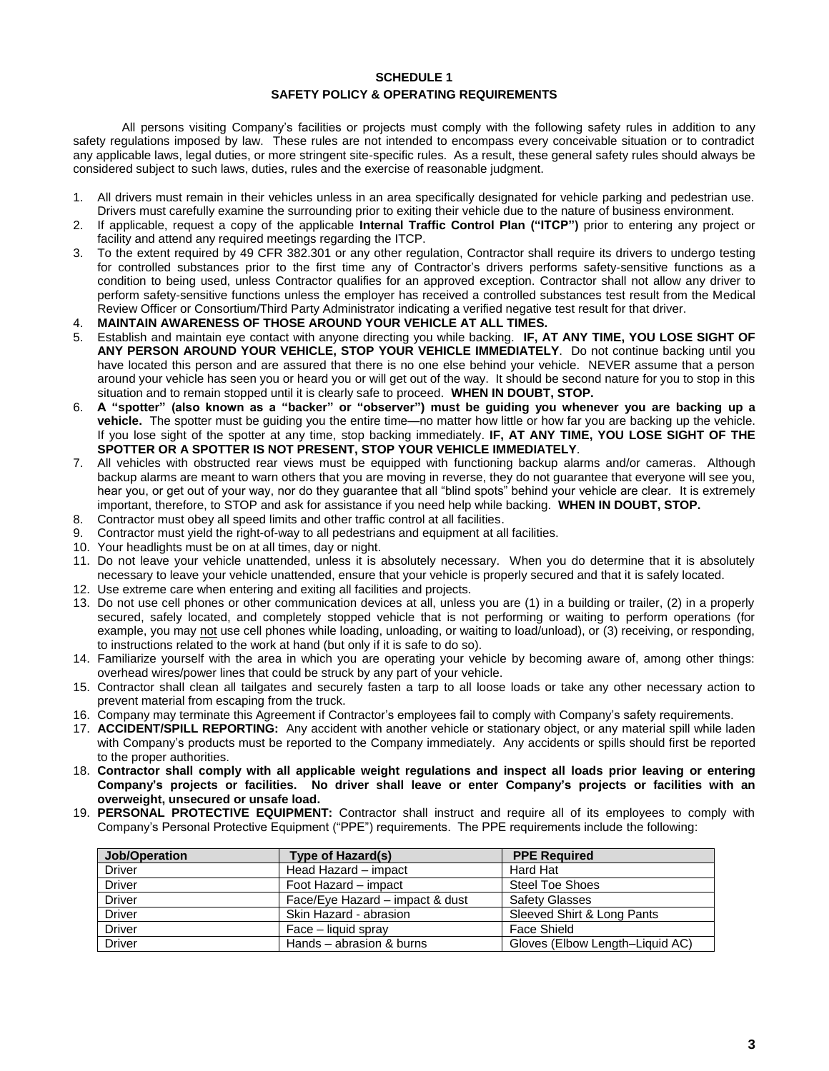#### **SCHEDULE 1**

#### **SAFETY POLICY & OPERATING REQUIREMENTS**

All persons visiting Company's facilities or projects must comply with the following safety rules in addition to any safety regulations imposed by law. These rules are not intended to encompass every conceivable situation or to contradict any applicable laws, legal duties, or more stringent site-specific rules. As a result, these general safety rules should always be considered subject to such laws, duties, rules and the exercise of reasonable judgment.

- 1. All drivers must remain in their vehicles unless in an area specifically designated for vehicle parking and pedestrian use. Drivers must carefully examine the surrounding prior to exiting their vehicle due to the nature of business environment.
- 2. If applicable, request a copy of the applicable **Internal Traffic Control Plan ("ITCP")** prior to entering any project or facility and attend any required meetings regarding the ITCP.
- 3. To the extent required by 49 CFR 382.301 or any other regulation, Contractor shall require its drivers to undergo testing for controlled substances prior to the first time any of Contractor's drivers performs safety-sensitive functions as a condition to being used, unless Contractor qualifies for an approved exception. Contractor shall not allow any driver to perform safety-sensitive functions unless the employer has received a controlled substances test result from the Medical Review Officer or Consortium/Third Party Administrator indicating a verified negative test result for that driver.
- 4. **MAINTAIN AWARENESS OF THOSE AROUND YOUR VEHICLE AT ALL TIMES.**
- 5. Establish and maintain eye contact with anyone directing you while backing. **IF, AT ANY TIME, YOU LOSE SIGHT OF ANY PERSON AROUND YOUR VEHICLE, STOP YOUR VEHICLE IMMEDIATELY**. Do not continue backing until you have located this person and are assured that there is no one else behind your vehicle. NEVER assume that a person around your vehicle has seen you or heard you or will get out of the way. It should be second nature for you to stop in this situation and to remain stopped until it is clearly safe to proceed. **WHEN IN DOUBT, STOP.**
- 6. **A "spotter" (also known as a "backer" or "observer") must be guiding you whenever you are backing up a vehicle.** The spotter must be guiding you the entire time—no matter how little or how far you are backing up the vehicle. If you lose sight of the spotter at any time, stop backing immediately. **IF, AT ANY TIME, YOU LOSE SIGHT OF THE SPOTTER OR A SPOTTER IS NOT PRESENT, STOP YOUR VEHICLE IMMEDIATELY**.
- 7. All vehicles with obstructed rear views must be equipped with functioning backup alarms and/or cameras. Although backup alarms are meant to warn others that you are moving in reverse, they do not guarantee that everyone will see you, hear you, or get out of your way, nor do they guarantee that all "blind spots" behind your vehicle are clear. It is extremely important, therefore, to STOP and ask for assistance if you need help while backing. **WHEN IN DOUBT, STOP.**
- 8. Contractor must obey all speed limits and other traffic control at all facilities.
- 9. Contractor must yield the right-of-way to all pedestrians and equipment at all facilities.
- 10. Your headlights must be on at all times, day or night.
- 11. Do not leave your vehicle unattended, unless it is absolutely necessary. When you do determine that it is absolutely necessary to leave your vehicle unattended, ensure that your vehicle is properly secured and that it is safely located.
- 12. Use extreme care when entering and exiting all facilities and projects.
- 13. Do not use cell phones or other communication devices at all, unless you are (1) in a building or trailer, (2) in a properly secured, safely located, and completely stopped vehicle that is not performing or waiting to perform operations (for example, you may not use cell phones while loading, unloading, or waiting to load/unload), or (3) receiving, or responding, to instructions related to the work at hand (but only if it is safe to do so).
- 14. Familiarize yourself with the area in which you are operating your vehicle by becoming aware of, among other things: overhead wires/power lines that could be struck by any part of your vehicle.
- 15. Contractor shall clean all tailgates and securely fasten a tarp to all loose loads or take any other necessary action to prevent material from escaping from the truck.
- 16. Company may terminate this Agreement if Contractor's employees fail to comply with Company's safety requirements.
- 17. **ACCIDENT/SPILL REPORTING:** Any accident with another vehicle or stationary object, or any material spill while laden with Company's products must be reported to the Company immediately. Any accidents or spills should first be reported to the proper authorities.
- 18. **Contractor shall comply with all applicable weight regulations and inspect all loads prior leaving or entering Company's projects or facilities. No driver shall leave or enter Company's projects or facilities with an overweight, unsecured or unsafe load.**
- 19. **PERSONAL PROTECTIVE EQUIPMENT:** Contractor shall instruct and require all of its employees to comply with Company's Personal Protective Equipment ("PPE") requirements. The PPE requirements include the following:

| Job/Operation | Type of Hazard(s)               | <b>PPE Required</b>             |
|---------------|---------------------------------|---------------------------------|
| Driver        | Head Hazard - impact            | Hard Hat                        |
| <b>Driver</b> | Foot Hazard - impact            | <b>Steel Toe Shoes</b>          |
| <b>Driver</b> | Face/Eye Hazard - impact & dust | <b>Safety Glasses</b>           |
| <b>Driver</b> | Skin Hazard - abrasion          | Sleeved Shirt & Long Pants      |
| <b>Driver</b> | Face – liquid spray             | Face Shield                     |
| <b>Driver</b> | Hands – abrasion & burns        | Gloves (Elbow Length-Liquid AC) |